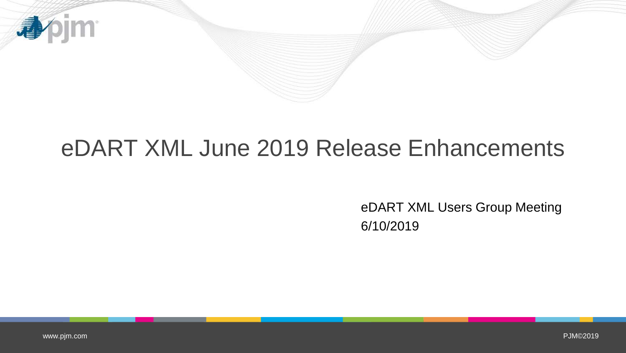

## eDART XML June 2019 Release Enhancements

eDART XML Users Group Meeting 6/10/2019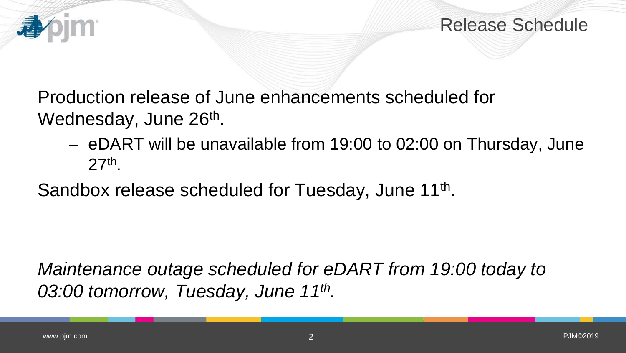

Production release of June enhancements scheduled for Wednesday, June 26<sup>th</sup>.

– eDART will be unavailable from 19:00 to 02:00 on Thursday, June 27th.

Sandbox release scheduled for Tuesday, June 11<sup>th</sup>.

*Maintenance outage scheduled for eDART from 19:00 today to 03:00 tomorrow, Tuesday, June 11th.* 

看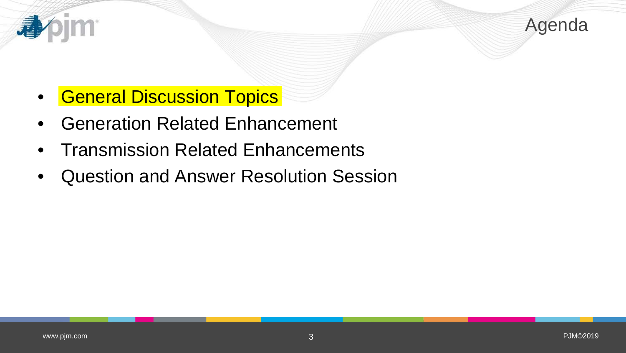

- **General Discussion Topics**
- Generation Related Enhancement
- Transmission Related Enhancements
- Question and Answer Resolution Session

看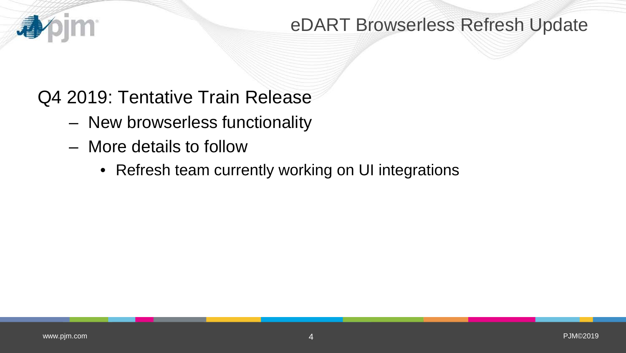#### **IM** 看

### eDART Browserless Refresh Update

## Q4 2019: Tentative Train Release

- New browserless functionality
- More details to follow
	- Refresh team currently working on UI integrations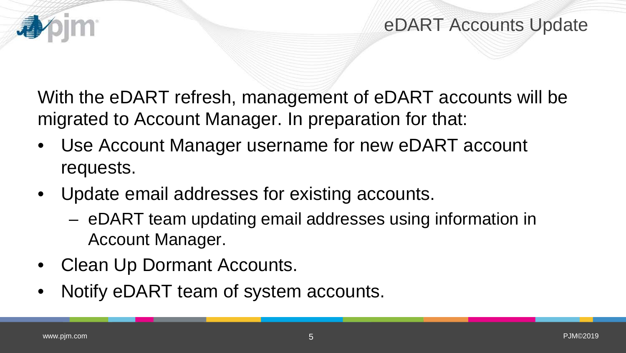

With the eDART refresh, management of eDART accounts will be migrated to Account Manager. In preparation for that:

- Use Account Manager username for new eDART account requests.
- Update email addresses for existing accounts.
	- eDART team updating email addresses using information in Account Manager.
- Clean Up Dormant Accounts.
- Notify eDART team of system accounts.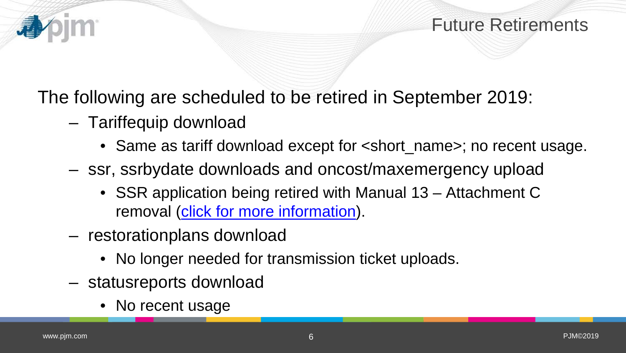

The following are scheduled to be retired in September 2019:

- Tariffequip download
	- Same as tariff download except for  $\le$ short\_name>; no recent usage.
- ssr, ssrbydate downloads and oncost/maxemergency upload
	- SSR application being retired with Manual 13 Attachment C removal ([click for more information\)](https://www.pjm.com/-/media/committees-groups/subcommittees/sos/20190502/20190502-item-10-m13-cover-to-cover.ashx).
- restorationplans download
	- No longer needed for transmission ticket uploads.
- statusreports download
	- No recent usage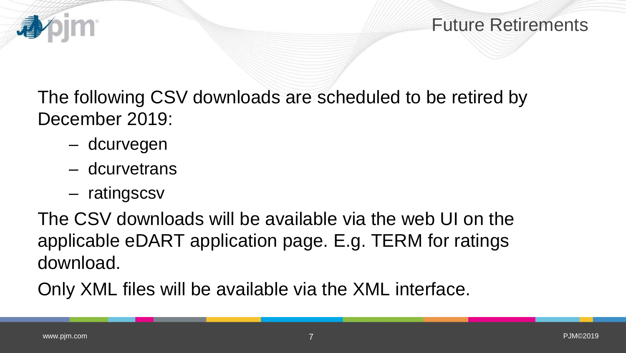

The following CSV downloads are scheduled to be retired by December 2019:

- dcurvegen
- dcurvetrans
- ratingscsv

The CSV downloads will be available via the web UI on the applicable eDART application page. E.g. TERM for ratings download.

Only XML files will be available via the XML interface.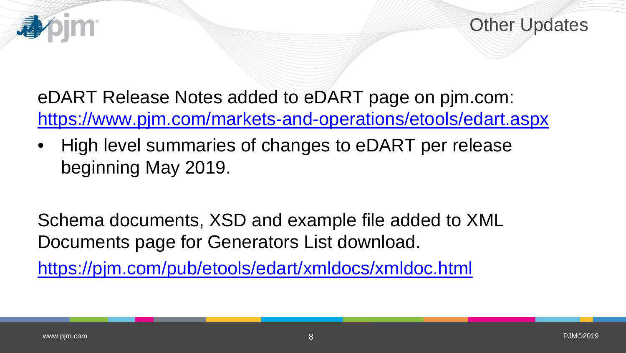eDART Release Notes added to eDART page on pjm.com: <https://www.pjm.com/markets-and-operations/etools/edart.aspx>

• High level summaries of changes to eDART per release beginning May 2019.

Schema documents, XSD and example file added to XML Documents page for Generators List download.

<https://pjm.com/pub/etools/edart/xmldocs/xmldoc.html>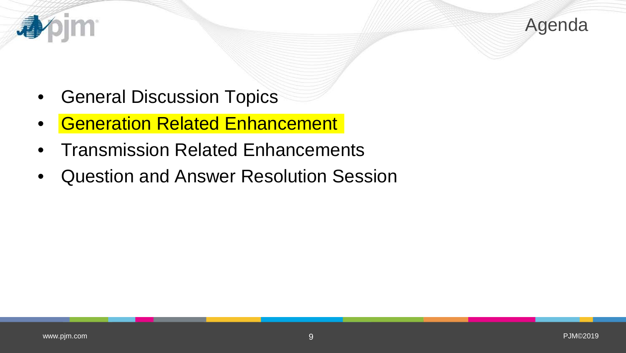

- General Discussion Topics
- **Generation Related Enhancement**
- Transmission Related Enhancements
- Question and Answer Resolution Session

4

m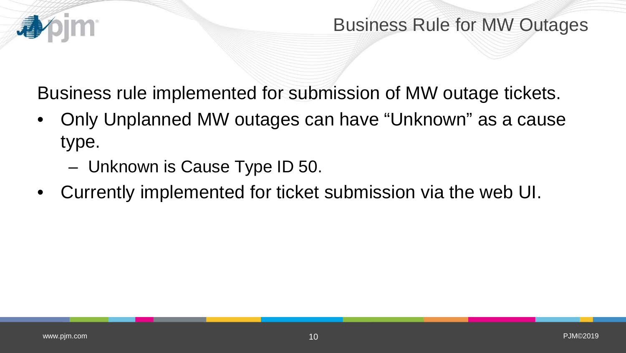Business rule implemented for submission of MW outage tickets.

- Only Unplanned MW outages can have "Unknown" as a cause type.
	- Unknown is Cause Type ID 50.
- Currently implemented for ticket submission via the web UI.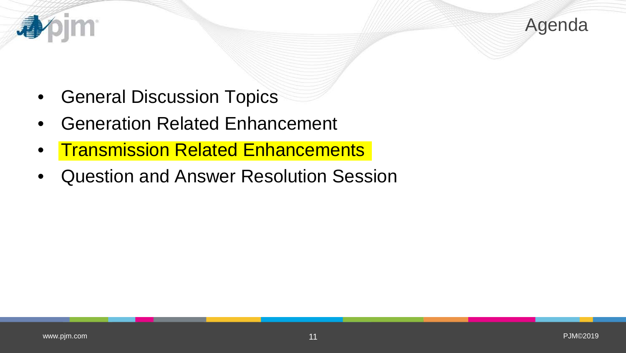

- General Discussion Topics
- Generation Related Enhancement
- **Transmission Related Enhancements**
- Question and Answer Resolution Session

看

m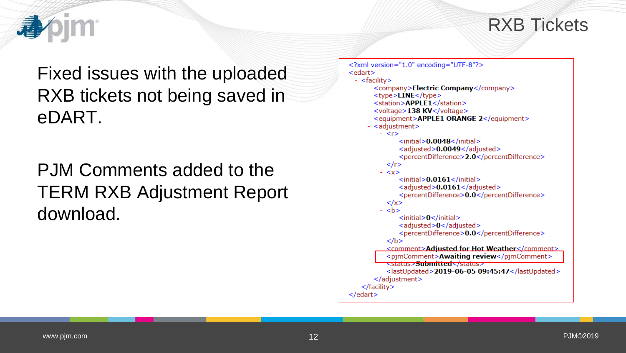#### RXB Tickets

Fixed issues with the uploaded RXB tickets not being saved in eDART.

PJM Comments added to the TERM RXB Adjustment Report download.

```
<?xml version="1.0" encoding="UTF-8"?>
<edart>- <facility>
       <company>Electric Company</company>
       <type>LINE</type>
       <station>APPLE1</station>
       <voltage>138 KV</voltage>
       <equipment>APPLE1 ORANGE 2</equipment>
       <adjustment>
         - <r>
              <initial>0.0048</initial>
              <adjusted>0.0049</adjusted>
              <percentDifference>2.0</percentDifference>
           \langle/r>
         - <x>\leinitial>0.0161\le/initial>
              <adjusted>0.0161</adjusted>
              <percentDifference>0.0</percentDifference>
           \langle x \rangle- <br> <b>bb</b><initial>0</initial>
              <adjusted>0</adjusted>
              <percentDifference>0.0</percentDifference>
          </b>
           <comment>Adiusted for Hot Weather</comment>
           <pjmComment>Awaiting review</pjmComment>
           <del>≺status>Submitted</status></del>
           <lastUpdated>2019-06-05 09:45:47</lastUpdated>
       \langleadjustment>
   </facility>
</edart>
```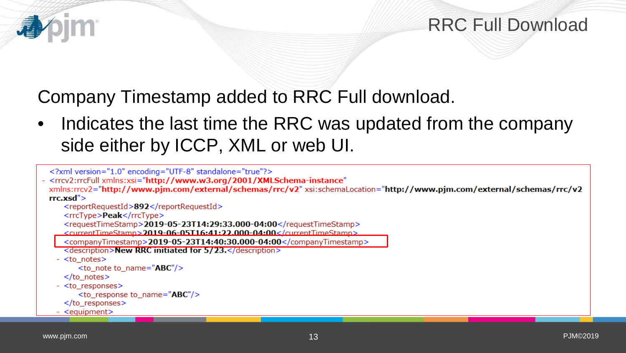#### RRC Full Download

### Company Timestamp added to RRC Full download.

Indicates the last time the RRC was updated from the company side either by ICCP, XML or web UI.

```
<?xml version="1.0" encoding="UTF-8" standalone="true"?>
- <rrcv2:rrcFull xmlns:xsi="http://www.w3.org/2001/XMLSchema-instance"
 xmlns:rrcv2="http://www.pjm.com/external/schemas/rrc/v2" xsi:schemaLocation="http://www.pjm.com/external/schemas/rrc/v2
 rrc.xsd"<reportRequestId>892</reportRequestId>
     <rrcType>Peak</rrcType>
     <requestTimeStamp>2019-05-23T14:29:33.000-04:00</requestTimeStamp>
     <currentTimeStamn>2019-06-05T16:41:22.000-04:00</currentTimeStamn>
     <companyTimestamp>2019-05-23T14:40:30.000-04:00</companyTimestamp>
     <description>New RRC initiated for 5/23.</description>
   - <to notes>
        <to note to name="ABC'')
     \lt/to notes>
   - <to responses>
        <to_response to_name="ABC"/>
     </to_responses>
   - <equipment>
```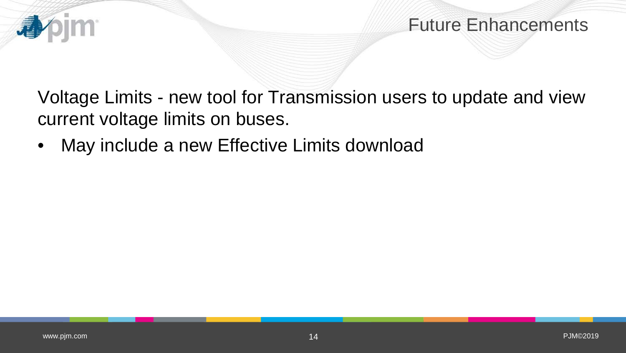

Voltage Limits - new tool for Transmission users to update and view current voltage limits on buses.

• May include a new Effective Limits download

**IM** 

看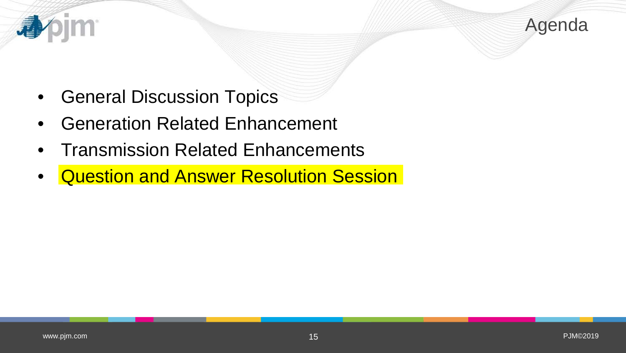

- General Discussion Topics
- Generation Related Enhancement
- Transmission Related Enhancements
- Question and Answer Resolution Session

4